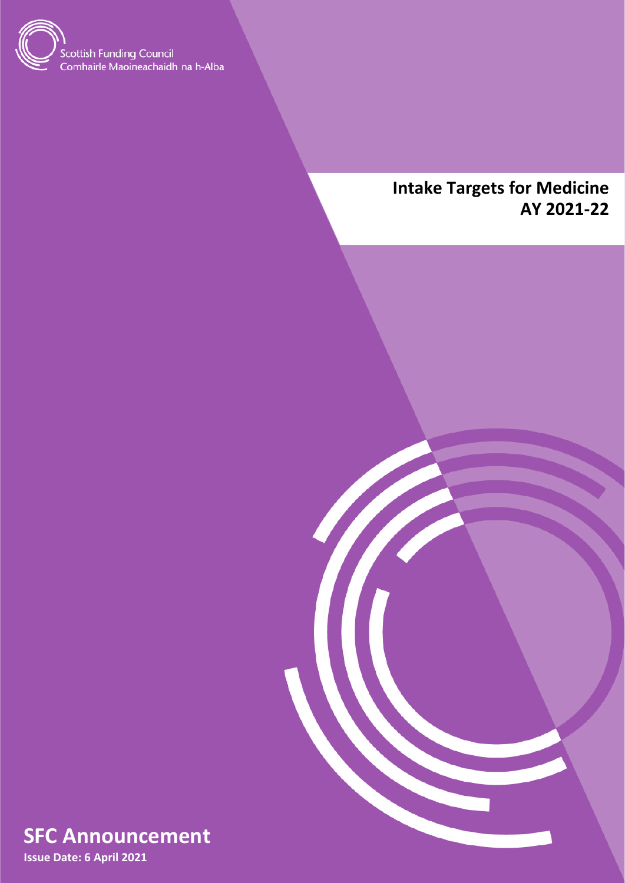

# **Intake Targets for Medicine AY 2021-22**





**Issue Date: 6 April 2021**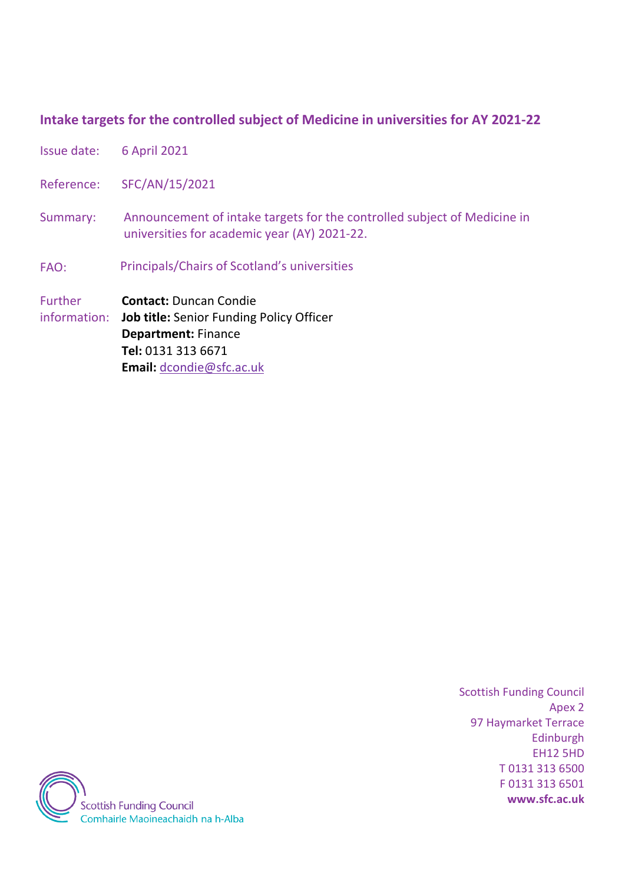## **Intake targets for the controlled subject of Medicine in universities for AY 2021-22**

- Issue date: 6 April 2021
- Reference: SFC/AN/15/2021
- Summary: Announcement of intake targets for the controlled subject of Medicine in universities for academic year (AY) 2021-22.
- FAO: Principals/Chairs of Scotland's universities
- Further **Contact:** Duncan Condie

information: **Job title:** Senior Funding Policy Officer **Department:** Finance **Tel:** 0131 313 6671 **Email:** [dcondie@sfc.ac.uk](mailto:dcondie@sfc.ac.uk) 

> Scottish Funding Council Apex 2 97 Haymarket Terrace Edinburgh EH12 5HD T 0131 313 6500 F 0131 313 6501 **www.sfc.ac.uk**

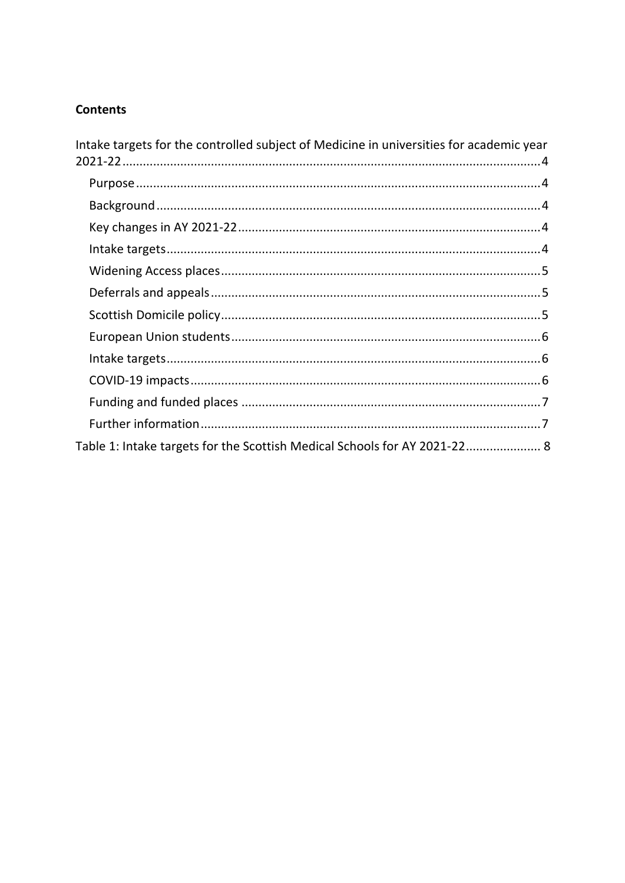## **Contents**

| Intake targets for the controlled subject of Medicine in universities for academic year |
|-----------------------------------------------------------------------------------------|
|                                                                                         |
|                                                                                         |
|                                                                                         |
|                                                                                         |
|                                                                                         |
|                                                                                         |
|                                                                                         |
|                                                                                         |
|                                                                                         |
|                                                                                         |
|                                                                                         |
|                                                                                         |
| Table 1: Intake targets for the Scottish Medical Schools for AY 2021-22 8               |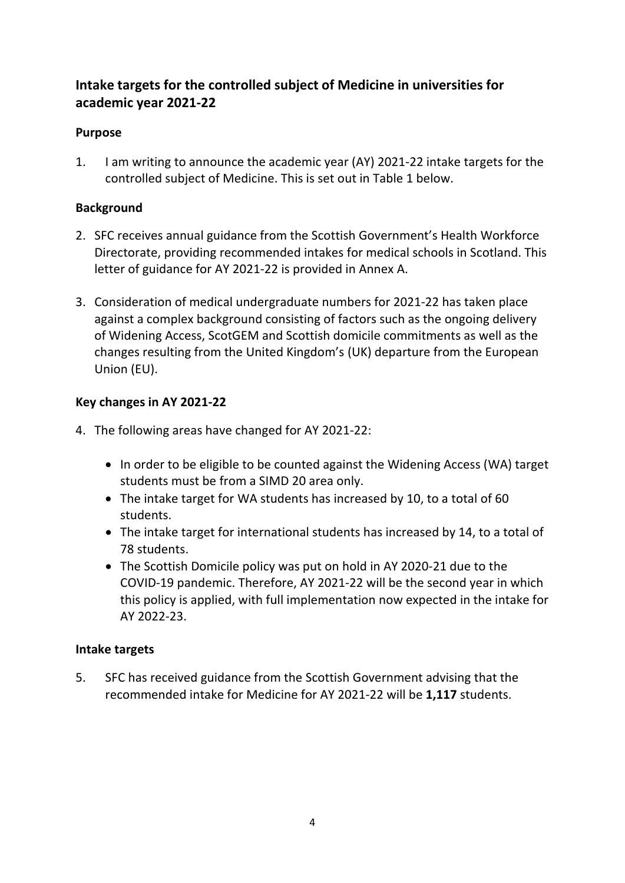## <span id="page-3-0"></span>**Intake targets for the controlled subject of Medicine in universities for academic year 2021-22**

## <span id="page-3-1"></span>**Purpose**

1. I am writing to announce the academic year (AY) 2021-22 intake targets for the controlled subject of Medicine. This is set out in Table 1 below.

## <span id="page-3-2"></span>**Background**

- 2. SFC receives annual guidance from the Scottish Government's Health Workforce Directorate, providing recommended intakes for medical schools in Scotland. This letter of guidance for AY 2021-22 is provided in Annex A.
- 3. Consideration of medical undergraduate numbers for 2021-22 has taken place against a complex background consisting of factors such as the ongoing delivery of Widening Access, ScotGEM and Scottish domicile commitments as well as the changes resulting from the United Kingdom's (UK) departure from the European Union (EU).

## <span id="page-3-3"></span>**Key changes in AY 2021-22**

- 4. The following areas have changed for AY 2021-22:
	- In order to be eligible to be counted against the Widening Access (WA) target students must be from a SIMD 20 area only.
	- The intake target for WA students has increased by 10, to a total of 60 students.
	- The intake target for international students has increased by 14, to a total of 78 students.
	- The Scottish Domicile policy was put on hold in AY 2020-21 due to the COVID-19 pandemic. Therefore, AY 2021-22 will be the second year in which this policy is applied, with full implementation now expected in the intake for AY 2022-23.

#### <span id="page-3-4"></span>**Intake targets**

5. SFC has received guidance from the Scottish Government advising that the recommended intake for Medicine for AY 2021-22 will be **1,117** students.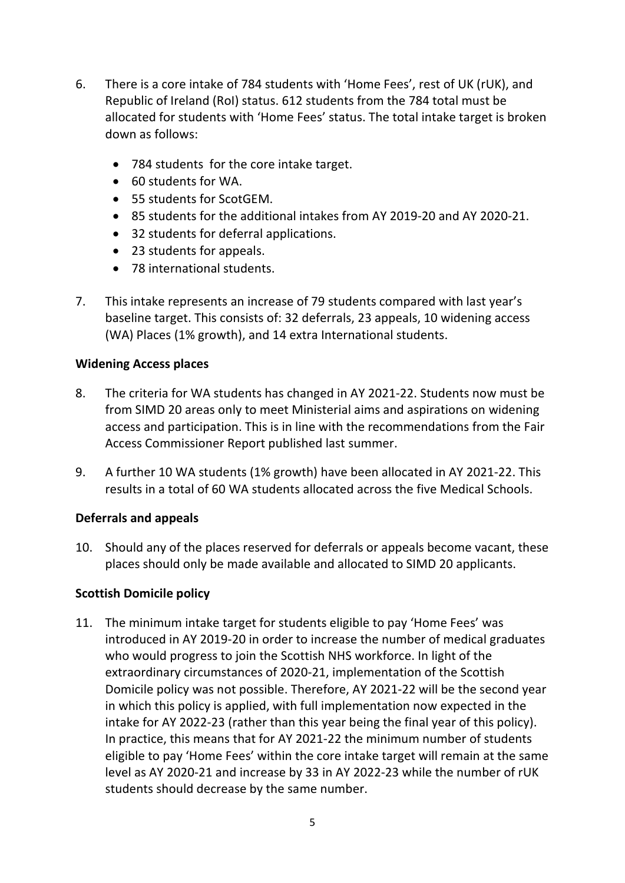- 6. There is a core intake of 784 students with 'Home Fees', rest of UK (rUK), and Republic of Ireland (RoI) status. 612 students from the 784 total must be allocated for students with 'Home Fees' status. The total intake target is broken down as follows:
	- 784 students for the core intake target.
	- 60 students for WA.
	- 55 students for ScotGEM.
	- 85 students for the additional intakes from AY 2019-20 and AY 2020-21.
	- 32 students for deferral applications.
	- 23 students for appeals.
	- 78 international students.
- 7. This intake represents an increase of 79 students compared with last year's baseline target. This consists of: 32 deferrals, 23 appeals, 10 widening access (WA) Places (1% growth), and 14 extra International students.

#### <span id="page-4-0"></span>**Widening Access places**

- 8. The criteria for WA students has changed in AY 2021-22. Students now must be from SIMD 20 areas only to meet Ministerial aims and aspirations on widening access and participation. This is in line with the recommendations from the Fair Access Commissioner Report published last summer.
- 9. A further 10 WA students (1% growth) have been allocated in AY 2021-22. This results in a total of 60 WA students allocated across the five Medical Schools.

#### <span id="page-4-1"></span>**Deferrals and appeals**

10. Should any of the places reserved for deferrals or appeals become vacant, these places should only be made available and allocated to SIMD 20 applicants.

#### <span id="page-4-2"></span>**Scottish Domicile policy**

11. The minimum intake target for students eligible to pay 'Home Fees' was introduced in AY 2019-20 in order to increase the number of medical graduates who would progress to join the Scottish NHS workforce. In light of the extraordinary circumstances of 2020-21, implementation of the Scottish Domicile policy was not possible. Therefore, AY 2021-22 will be the second year in which this policy is applied, with full implementation now expected in the intake for AY 2022-23 (rather than this year being the final year of this policy). In practice, this means that for AY 2021-22 the minimum number of students eligible to pay 'Home Fees' within the core intake target will remain at the same level as AY 2020-21 and increase by 33 in AY 2022-23 while the number of rUK students should decrease by the same number.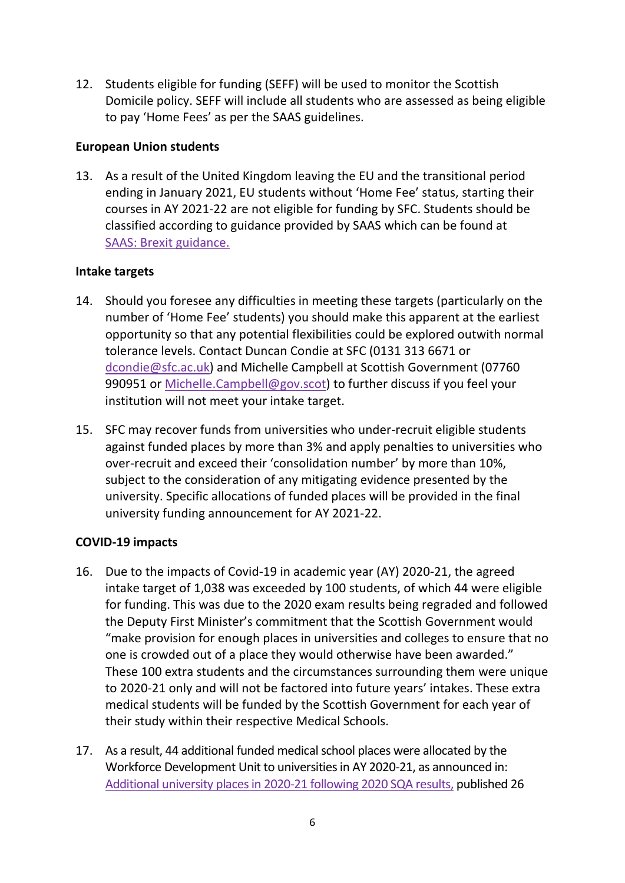12. Students eligible for funding (SEFF) will be used to monitor the Scottish Domicile policy. SEFF will include all students who are assessed as being eligible to pay 'Home Fees' as per the SAAS guidelines.

#### <span id="page-5-0"></span>**European Union students**

13. As a result of the United Kingdom leaving the EU and the transitional period ending in January 2021, EU students without 'Home Fee' status, starting their courses in AY 2021-22 are not eligible for funding by SFC. Students should be classified according to guidance provided by SAAS which can be found at [SAAS: Brexit guidance.](https://www.saas.gov.uk/need-to-know/brexit)

#### <span id="page-5-1"></span>**Intake targets**

- 14. Should you foresee any difficulties in meeting these targets (particularly on the number of 'Home Fee' students) you should make this apparent at the earliest opportunity so that any potential flexibilities could be explored outwith normal tolerance levels. Contact Duncan Condie at SFC (0131 313 6671 or [dcondie@sfc.ac.uk\)](mailto:dcondie@sfc.ac.uk) and Michelle Campbell at Scottish Government (07760 990951 or [Michelle.Campbell@gov.scot\)](mailto:Michelle.Campbell@gov.scot) to further discuss if you feel your institution will not meet your intake target.
- 15. SFC may recover funds from universities who under-recruit eligible students against funded places by more than 3% and apply penalties to universities who over-recruit and exceed their 'consolidation number' by more than 10%, subject to the consideration of any mitigating evidence presented by the university. Specific allocations of funded places will be provided in the final university funding announcement for AY 2021-22.

#### <span id="page-5-2"></span>**COVID-19 impacts**

- 16. Due to the impacts of Covid-19 in academic year (AY) 2020-21, the agreed intake target of 1,038 was exceeded by 100 students, of which 44 were eligible for funding. This was due to the 2020 exam results being regraded and followed the Deputy First Minister's commitment that the Scottish Government would "make provision for enough places in universities and colleges to ensure that no one is crowded out of a place they would otherwise have been awarded." These 100 extra students and the circumstances surrounding them were unique to 2020-21 only and will not be factored into future years' intakes. These extra medical students will be funded by the Scottish Government for each year of their study within their respective Medical Schools.
- 17. As a result, 44 additional funded medical school places were allocated by the Workforce Development Unit to universities in AY 2020-21, as announced in: [Additional university places in 2020-21 following 2020 SQA results,](http://www.sfc.ac.uk/web/FILES/announcements_sfcan142020/Additional_university_places_in_2020-21_following_2020_SQA_results.pdf) published 26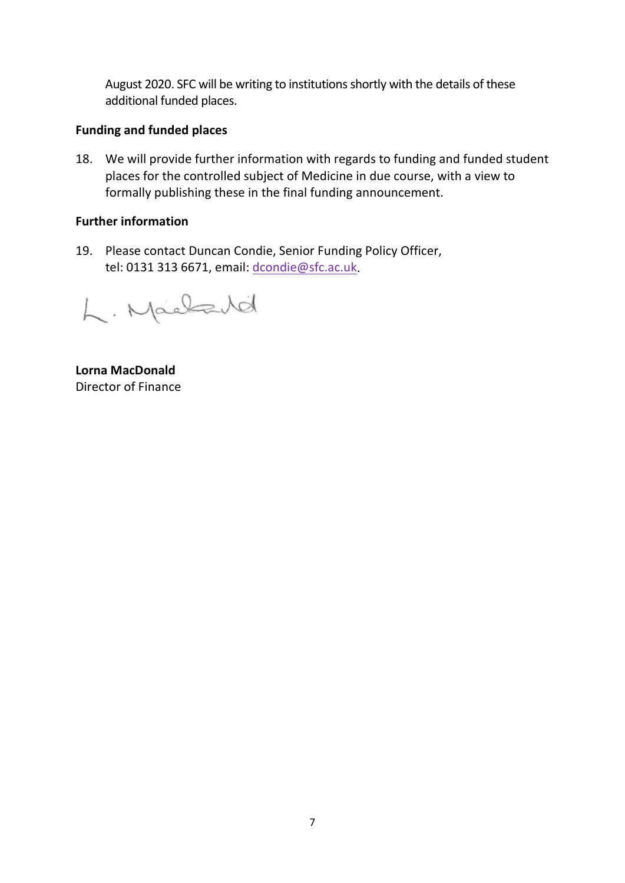August 2020. SFC will be writing to institutions shortly with the details of these additional funded places.

#### <span id="page-6-0"></span>**Funding and funded places**

18. We will provide further information with regards to funding and funded student places for the controlled subject of Medicine in due course, with a view to formally publishing these in the final funding announcement.

#### <span id="page-6-1"></span>**Further information**

19. Please contact Duncan Condie, Senior Funding Policy Officer, tel: 0131 313 6671, email: [dcondie@sfc.ac.uk.](mailto:dcondie@sfc.ac.uk)

L. Machard

**Lorna MacDonald**  Director of Finance